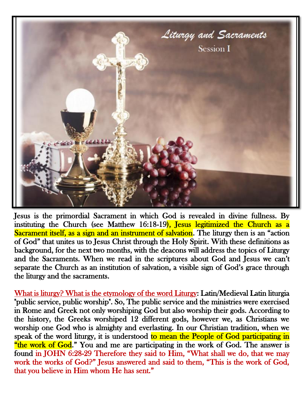

Jesus is the primordial Sacrament in which God is revealed in divine fullness. By instituting the Church (see Matthew 16:18-19), Jesus legitimized the Church as a Sacrament itself, as a sign and an instrument of salvation. The liturgy then is an "action of God" that unites us to Jesus Christ through the Holy Spirit. With these definitions as background, for the next two months, with the deacons will address the topics of Liturgy and the Sacraments. When we read in the scriptures about God and Jesus we can't separate the Church as an institution of salvation, a visible sign of God's grace through the liturgy and the sacraments.

What is liturgy? What is the etymology of the word Liturgy: Latin/Medieval Latin liturgia "public service, public worship". So, The public service and the ministries were exercised in Rome and Greek not only worshiping God but also worship their gods. According to the history, the Greeks worshiped 12 different gods, however we, as Christians we worship one God who is almighty and everlasting. In our Christian tradition, when we speak of the word liturgy, it is understood to mean the People of God participating in "the work of God." You and me are participating in the work of God. The answer is found in JOHN 6:28-29 Therefore they said to Him, "What shall we do, that we may work the works of God?" Jesus answered and said to them, "This is the work of God, that you believe in Him whom He has sent."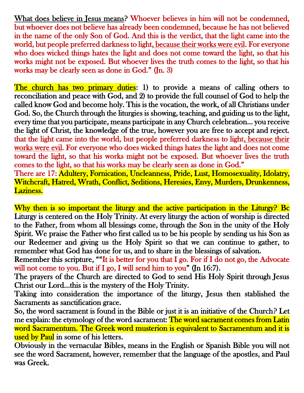What does believe in Jesus means? Whoever believes in him will not be condemned, but whoever does not believe has already been condemned, because he has not believed in the name of the only Son of God. And this is the verdict, that the light came into the world, but people preferred darkness to light, because their works were evil. For everyone who does wicked things hates the light and does not come toward the light, so that his works might not be exposed. But whoever lives the truth comes to the light, so that his works may be clearly seen as done in God." (Jn. 3)

The church has two primary duties: 1) to provide a means of calling others to reconciliation and peace with God, and 2) to provide the full counsel of God to help the called know God and become holy. This is the vocation, the work, of all Christians under God. So, the Church through the liturgies is showing, teaching, and guiding us to the light, every time that you participate, means participate in any Church celebration… you receive the light of Christ, the knowledge of the true, however you are free to accept and reject. that the light came into the world, but people preferred darkness to light, because their works were evil. For everyone who does wicked things hates the light and does not come toward the light, so that his works might not be exposed. But whoever lives the truth comes to the light, so that his works may be clearly seen as done in God." There are 17: Adultery, Fornication, Uncleanness, Pride, Lust, Homosexuality, Idolatry,

Witchcraft, Hatred, Wrath, Conflict, Seditions, Heresies, Envy, Murders, Drunkenness, Laziness.

Why then is so important the liturgy and the active participation in the Liturgy? Bc Liturgy is centered on the Holy Trinity. At every liturgy the action of worship is directed to the Father, from whom all blessings come, through the Son in the unity of the Holy Spirit. We praise the Father who first called us to be his people by sending us his Son as our Redeemer and giving us the Holy Spirit so that we can continue to gather, to remember what God has done for us, and to share in the blessings of salvation.

Remember this scripture, ""It is better for you that I go. For if I do not go, the Advocate will not come to you. But if I go, I will send him to you" (Jn 16:7).

The prayers of the Church are directed to God to send His Holy Spirit through Jesus Christ our Lord…this is the mystery of the Holy Trinity.

Taking into consideration the importance of the liturgy, Jesus then stablished the Sacraments as sanctification grace.

So, the word sacrament is found in the Bible or just it is an initiative of the Church? Let me explain: the etymology of the word sacrament: The word sacrament comes from Latin word Sacramentum. The Greek word musterion is equivalent to Sacramentum and it is used by Paul in some of his letters.

Obviously in the vernacular Bibles, means in the English or Spanish Bible you will not see the word Sacrament, however, remember that the language of the apostles, and Paul was Greek.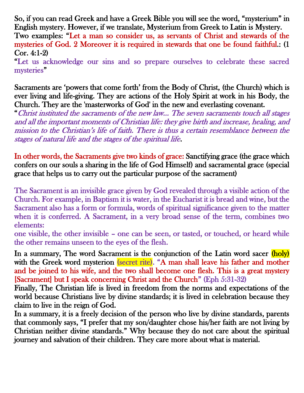So, if you can read Greek and have a Greek Bible you will see the word, "mysterium" in English mystery. However, if we translate, Mysterium from Greek to Latin is Mystery. Two examples: "Let a man so consider us, as servants of Christ and stewards of the mysteries of God. 2 Moreover it is required in stewards that one be found faithful.: (1 Cor. 4:1-2)

"Let us acknowledge our sins and so prepare ourselves to celebrate these sacred mysteries"

Sacraments are 'powers that come forth' from the Body of Christ, (the Church) which is ever living and life-giving. They are actions of the Holy Spirit at work in his Body, the Church. They are the 'masterworks of God' in the new and everlasting covenant.

"Christ instituted the sacraments of the new law… The seven sacraments touch all stages and all the important moments of Christian life: they give birth and increase, healing, and mission to the Christian's life of faith. There is thus a certain resemblance between the stages of natural life and the stages of the spiritual life.

In other words, the Sacraments give two kinds of grace: Sanctifying grace (the grace which confers on our souls a sharing in the life of God Himself) and sacramental grace (special grace that helps us to carry out the particular purpose of the sacrament)

The Sacrament is an invisible grace given by God revealed through a visible action of the Church. For example, in Baptism it is water, in the Eucharist it is bread and wine, but the Sacrament also has a form or formula, words of spiritual significance given to the matter when it is conferred. A Sacrament, in a very broad sense of the term, combines two elements:

one visible, the other invisible – one can be seen, or tasted, or touched, or heard while the other remains unseen to the eyes of the flesh.

In a summary, The word Sacrament is the conjunction of the Latin word sacer (holy) with the Greek word mysterion (secret rite). "A man shall leave his father and mother and be joined to his wife, and the two shall become one flesh. This is a great mystery [Sacrament] but I speak concerning Christ and the Church" (Eph 5:31-32)

Finally, The Christian life is lived in freedom from the norms and expectations of the world because Christians live by divine standards; it is lived in celebration because they claim to live in the reign of God.

In a summary, it is a freely decision of the person who live by divine standards, parents that commonly says, "I prefer that my son/daughter chose his/her faith are not living by Christian neither divine standards." Why because they do not care about the spiritual journey and salvation of their children. They care more about what is material.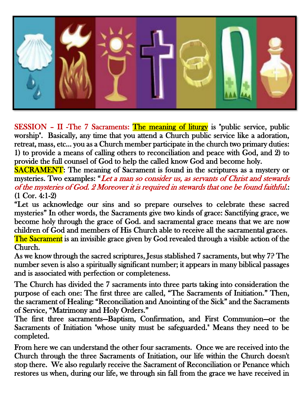

SESSION – II -The 7 Sacraments: The meaning of liturgy is "public service, public worship". Basically, any time that you attend a Church public service like a adoration, retreat, mass, etc… you as a Church member participate in the church two primary duties: 1) to provide a means of calling others to reconciliation and peace with God, and 2) to provide the full counsel of God to help the called know God and become holy.

SACRAMENT: The meaning of Sacrament is found in the scriptures as a mystery or mysteries. Two examples: "Let a man so consider us, as servants of Christ and stewards of the mysteries of God. 2 Moreover it is required in stewards that one be found faithful.: (1 Cor. 4:1-2)

"Let us acknowledge our sins and so prepare ourselves to celebrate these sacred mysteries" In other words, the Sacraments give two kinds of grace: Sanctifying grace, we become holy through the grace of God. and sacramental grace means that we are now children of God and members of His Church able to receive all the sacramental graces. The Sacrament is an invisible grace given by God revealed through a visible action of the Church.

As we know through the sacred scriptures, Jesus stablished 7 sacraments, but why 7? The number seven is also a spiritually significant number; it appears in many biblical passages and is associated with perfection or completeness.

 The Church has divided the 7 sacraments into three parts taking into consideration the purpose of each one: The first three are called, "The Sacraments of Initiation." Then, the sacrament of Healing: "Reconciliation and Anointing of the Sick" and the Sacraments of Service, "Matrimony and Holy Orders."

The first three sacraments—Baptism, Confirmation, and First Communion—or the Sacraments of Initiation "whose unity must be safeguarded." Means they need to be completed.

From here we can understand the other four sacraments. Once we are received into the Church through the three Sacraments of Initiation, our life within the Church doesn't stop there. We also regularly receive the Sacrament of Reconciliation or Penance which restores us when, during our life, we through sin fall from the grace we have received in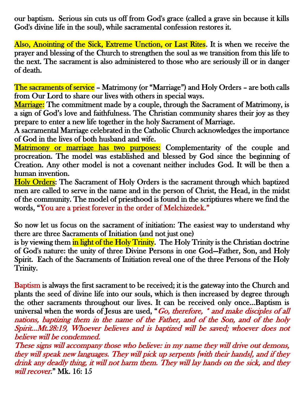our baptism. Serious sin cuts us off from God's grace (called a grave sin because it kills God's divine life in the soul), while sacramental confession restores it.

Also, Anointing of the Sick, Extreme Unction, or Last Rites. It is when we receive the prayer and blessing of the Church to strengthen the soul as we transition from this life to the next. The sacrament is also administered to those who are seriously ill or in danger of death.

The sacraments of service – Matrimony (or "Marriage") and Holy Orders – are both calls from Our Lord to share our lives with others in special ways.

**Marriage:** The commitment made by a couple, through the Sacrament of Matrimony, is a sign of God's love and faithfulness. The Christian community shares their joy as they prepare to enter a new life together in the holy Sacrament of Marriage.

A sacramental Marriage celebrated in the Catholic Church acknowledges the importance of God in the lives of both husband and wife.

Matrimony or marriage has two purposes: Complementarity of the couple and procreation. The model was established and blessed by God since the beginning of Creation. Any other model is not a covenant neither includes God. It will be then a human invention.

Holy Orders: The Sacrament of Holy Orders is the sacrament through which baptized men are called to serve in the name and in the person of Christ, the Head, in the midst of the community. The model of priesthood is found in the scriptiures where we find the words, "You are a priest forever in the order of Melchizedek."

So now let us focus on the sacrament of initiation: The easiest way to understand why there are three Sacraments of Initiation (and not just one)

is by viewing them in light of the Holy Trinity. The Holy Trinity is the Christian doctrine of God's nature: the unity of three Divine Persons in one God—Father, Son, and Holy Spirit. Each of the Sacraments of Initiation reveal one of the three Persons of the Holy Trinity.

Baptism is always the first sacrament to be received; it is the gateway into the Church and plants the seed of divine life into our souls, which is then increased by degree through the other sacraments throughout our lives. It can be received only once…Baptism is universal when the words of Jesus are used, "Go, therefore, \* and make disciples of all nations, baptizing them in the name of the Father, and of the Son, and of the holy Spirit…Mt.28:19, Whoever believes and is baptized will be saved; whoever does not believe will be condemned.

These signs will accompany those who believe: in my name they will drive out demons, they will speak new languages. They will pick up serpents [with their hands], and if they drink any deadly thing, it will not harm them. They will lay hands on the sick, and they will recover." Mk. 16: 15